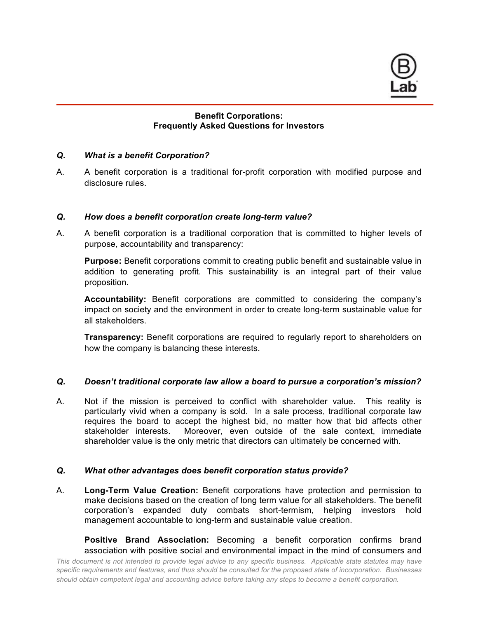

# **Benefit Corporations: Frequently Asked Questions for Investors**

## *Q. What is a benefit Corporation?*

A. A benefit corporation is a traditional for-profit corporation with modified purpose and disclosure rules.

# *Q. How does a benefit corporation create long-term value?*

A. A benefit corporation is a traditional corporation that is committed to higher levels of purpose, accountability and transparency:

**Purpose:** Benefit corporations commit to creating public benefit and sustainable value in addition to generating profit. This sustainability is an integral part of their value proposition.

**Accountability:** Benefit corporations are committed to considering the company's impact on society and the environment in order to create long-term sustainable value for all stakeholders.

**Transparency:** Benefit corporations are required to regularly report to shareholders on how the company is balancing these interests.

# *Q. Doesn't traditional corporate law allow a board to pursue a corporation's mission?*

A. Not if the mission is perceived to conflict with shareholder value. This reality is particularly vivid when a company is sold. In a sale process, traditional corporate law requires the board to accept the highest bid, no matter how that bid affects other stakeholder interests. Moreover, even outside of the sale context, immediate shareholder value is the only metric that directors can ultimately be concerned with.

#### *Q. What other advantages does benefit corporation status provide?*

A. **Long-Term Value Creation:** Benefit corporations have protection and permission to make decisions based on the creation of long term value for all stakeholders. The benefit corporation's expanded duty combats short-termism, helping investors hold management accountable to long-term and sustainable value creation.

**Positive Brand Association:** Becoming a benefit corporation confirms brand association with positive social and environmental impact in the mind of consumers and

*This document is not intended to provide legal advice to any specific business. Applicable state statutes may have specific requirements and features, and thus should be consulted for the proposed state of incorporation. Businesses should obtain competent legal and accounting advice before taking any steps to become a benefit corporation.*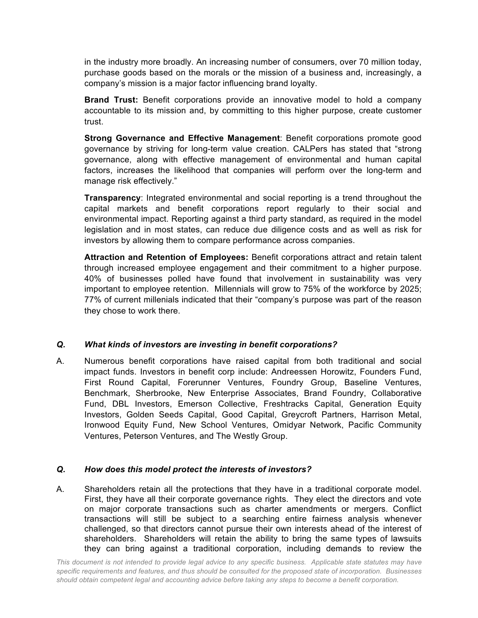in the industry more broadly. An increasing number of consumers, over 70 million today, purchase goods based on the morals or the mission of a business and, increasingly, a company's mission is a major factor influencing brand loyalty.

**Brand Trust:** Benefit corporations provide an innovative model to hold a company accountable to its mission and, by committing to this higher purpose, create customer trust.

**Strong Governance and Effective Management**: Benefit corporations promote good governance by striving for long-term value creation. CALPers has stated that "strong governance, along with effective management of environmental and human capital factors, increases the likelihood that companies will perform over the long-term and manage risk effectively."

**Transparency**: Integrated environmental and social reporting is a trend throughout the capital markets and benefit corporations report regularly to their social and environmental impact. Reporting against a third party standard, as required in the model legislation and in most states, can reduce due diligence costs and as well as risk for investors by allowing them to compare performance across companies.

**Attraction and Retention of Employees:** Benefit corporations attract and retain talent through increased employee engagement and their commitment to a higher purpose. 40% of businesses polled have found that involvement in sustainability was very important to employee retention. Millennials will grow to 75% of the workforce by 2025; 77% of current millenials indicated that their "company's purpose was part of the reason they chose to work there.

# *Q. What kinds of investors are investing in benefit corporations?*

A. Numerous benefit corporations have raised capital from both traditional and social impact funds. Investors in benefit corp include: Andreessen Horowitz, Founders Fund, First Round Capital, Forerunner Ventures, Foundry Group, Baseline Ventures, Benchmark, Sherbrooke, New Enterprise Associates, Brand Foundry, Collaborative Fund, DBL Investors, Emerson Collective, Freshtracks Capital, Generation Equity Investors, Golden Seeds Capital, Good Capital, Greycroft Partners, Harrison Metal, Ironwood Equity Fund, New School Ventures, Omidyar Network, Pacific Community Ventures, Peterson Ventures, and The Westly Group.

# *Q. How does this model protect the interests of investors?*

A. Shareholders retain all the protections that they have in a traditional corporate model. First, they have all their corporate governance rights. They elect the directors and vote on major corporate transactions such as charter amendments or mergers. Conflict transactions will still be subject to a searching entire fairness analysis whenever challenged, so that directors cannot pursue their own interests ahead of the interest of shareholders. Shareholders will retain the ability to bring the same types of lawsuits they can bring against a traditional corporation, including demands to review the

*This document is not intended to provide legal advice to any specific business. Applicable state statutes may have specific requirements and features, and thus should be consulted for the proposed state of incorporation. Businesses should obtain competent legal and accounting advice before taking any steps to become a benefit corporation.*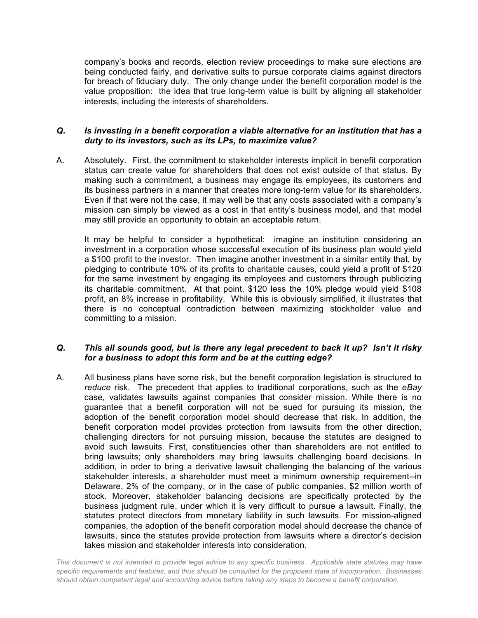company's books and records, election review proceedings to make sure elections are being conducted fairly, and derivative suits to pursue corporate claims against directors for breach of fiduciary duty. The only change under the benefit corporation model is the value proposition: the idea that true long-term value is built by aligning all stakeholder interests, including the interests of shareholders.

## *Q. Is investing in a benefit corporation a viable alternative for an institution that has a duty to its investors, such as its LPs, to maximize value?*

A. Absolutely. First, the commitment to stakeholder interests implicit in benefit corporation status can create value for shareholders that does not exist outside of that status. By making such a commitment, a business may engage its employees, its customers and its business partners in a manner that creates more long-term value for its shareholders. Even if that were not the case, it may well be that any costs associated with a company's mission can simply be viewed as a cost in that entity's business model, and that model may still provide an opportunity to obtain an acceptable return.

It may be helpful to consider a hypothetical: imagine an institution considering an investment in a corporation whose successful execution of its business plan would yield a \$100 profit to the investor. Then imagine another investment in a similar entity that, by pledging to contribute 10% of its profits to charitable causes, could yield a profit of \$120 for the same investment by engaging its employees and customers through publicizing its charitable commitment. At that point, \$120 less the 10% pledge would yield \$108 profit, an 8% increase in profitability. While this is obviously simplified, it illustrates that there is no conceptual contradiction between maximizing stockholder value and committing to a mission.

# *Q. This all sounds good, but is there any legal precedent to back it up? Isn't it risky for a business to adopt this form and be at the cutting edge?*

A. All business plans have some risk, but the benefit corporation legislation is structured to *reduce* risk. The precedent that applies to traditional corporations, such as the *eBay* case, validates lawsuits against companies that consider mission. While there is no guarantee that a benefit corporation will not be sued for pursuing its mission, the adoption of the benefit corporation model should decrease that risk. In addition, the benefit corporation model provides protection from lawsuits from the other direction, challenging directors for not pursuing mission, because the statutes are designed to avoid such lawsuits. First, constituencies other than shareholders are not entitled to bring lawsuits; only shareholders may bring lawsuits challenging board decisions. In addition, in order to bring a derivative lawsuit challenging the balancing of the various stakeholder interests, a shareholder must meet a minimum ownership requirement--in Delaware, 2% of the company, or in the case of public companies, \$2 million worth of stock. Moreover, stakeholder balancing decisions are specifically protected by the business judgment rule, under which it is very difficult to pursue a lawsuit. Finally, the statutes protect directors from monetary liability in such lawsuits. For mission-aligned companies, the adoption of the benefit corporation model should decrease the chance of lawsuits, since the statutes provide protection from lawsuits where a director's decision takes mission and stakeholder interests into consideration.

*This document is not intended to provide legal advice to any specific business. Applicable state statutes may have specific requirements and features, and thus should be consulted for the proposed state of incorporation. Businesses should obtain competent legal and accounting advice before taking any steps to become a benefit corporation.*